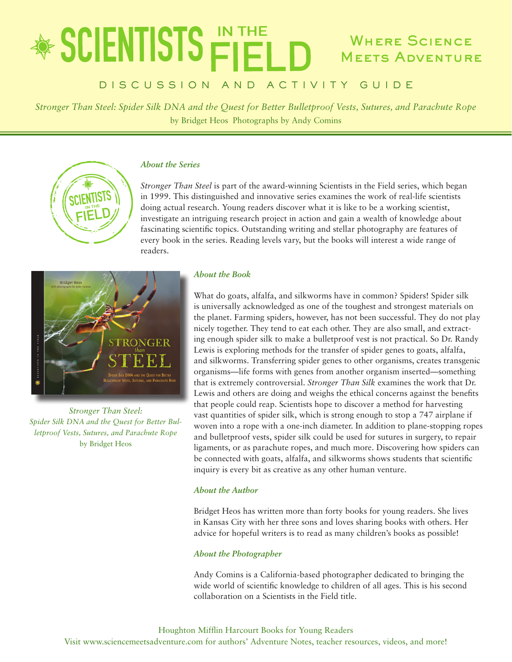## \* SCIENTISTS FIELD Where Science **MEETS ADVENTURE**

## DISCUSSION AND ACTIVITY GUIDE

*Stronger Than Steel: Spider Silk DNA and the Quest for Better Bulletproof Vests, Sutures, and Parachute Rope* by Bridget Heos Photographs by Andy Comins

## *About the Series*

*Stronger Than Steel* is part of the award-winning Scientists in the Field series, which began in 1999. This distinguished and innovative series examines the work of real-life scientists doing actual research. Young readers discover what it is like to be a working scientist, investigate an intriguing research project in action and gain a wealth of knowledge about fascinating scientific topics. Outstanding writing and stellar photography are features of every book in the series. Reading levels vary, but the books will interest a wide range of readers.



*Stronger Than Steel: Spider Silk DNA and the Quest for Better Bulletproof Vests, Sutures, and Parachute Rope* by Bridget Heos

## *About the Book*

What do goats, alfalfa, and silkworms have in common? Spiders! Spider silk is universally acknowledged as one of the toughest and strongest materials on the planet. Farming spiders, however, has not been successful. They do not play nicely together. They tend to eat each other. They are also small, and extracting enough spider silk to make a bulletproof vest is not practical. So Dr. Randy Lewis is exploring methods for the transfer of spider genes to goats, alfalfa, and silkworms. Transferring spider genes to other organisms, creates transgenic organisms—life forms with genes from another organism inserted—something that is extremely controversial. *Stronger Than Silk* examines the work that Dr. Lewis and others are doing and weighs the ethical concerns against the benefits that people could reap. Scientists hope to discover a method for harvesting vast quantities of spider silk, which is strong enough to stop a 747 airplane if woven into a rope with a one-inch diameter. In addition to plane-stopping ropes and bulletproof vests, spider silk could be used for sutures in surgery, to repair ligaments, or as parachute ropes, and much more. Discovering how spiders can be connected with goats, alfalfa, and silkworms shows students that scientific inquiry is every bit as creative as any other human venture.

## *About the Author*

Bridget Heos has written more than forty books for young readers. She lives in Kansas City with her three sons and loves sharing books with others. Her advice for hopeful writers is to read as many children's books as possible!

## *About the Photographer*

Andy Comins is a California-based photographer dedicated to bringing the wide world of scientific knowledge to children of all ages. This is his second collaboration on a Scientists in the Field title.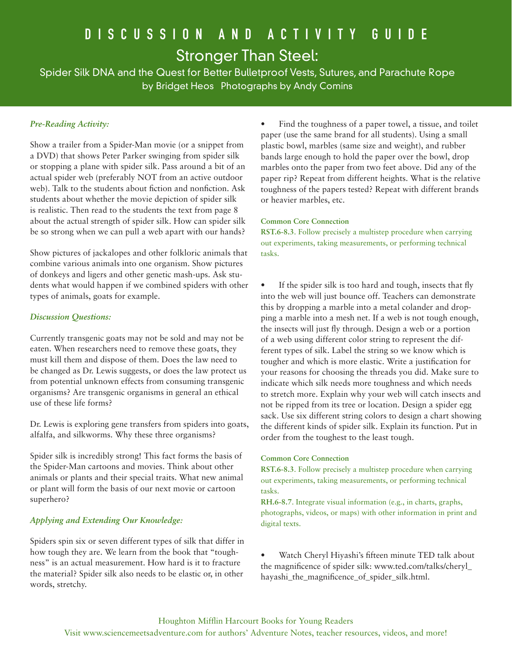## DISCUSSION AND ACTIVITY GUIDE Stronger Than Steel:

Spider Silk DNA and the Quest for Better Bulletproof Vests, Sutures, and Parachute Rope by Bridget Heos Photographs by Andy Comins

## *Pre-Reading Activity:*

Show a trailer from a Spider-Man movie (or a snippet from a DVD) that shows Peter Parker swinging from spider silk or stopping a plane with spider silk. Pass around a bit of an actual spider web (preferably NOT from an active outdoor web). Talk to the students about fiction and nonfiction. Ask students about whether the movie depiction of spider silk is realistic. Then read to the students the text from page 8 about the actual strength of spider silk. How can spider silk be so strong when we can pull a web apart with our hands?

Show pictures of jackalopes and other folkloric animals that combine various animals into one organism. Show pictures of donkeys and ligers and other genetic mash-ups. Ask students what would happen if we combined spiders with other types of animals, goats for example.

## *Discussion Questions:*

Currently transgenic goats may not be sold and may not be eaten. When researchers need to remove these goats, they must kill them and dispose of them. Does the law need to be changed as Dr. Lewis suggests, or does the law protect us from potential unknown effects from consuming transgenic organisms? Are transgenic organisms in general an ethical use of these life forms?

Dr. Lewis is exploring gene transfers from spiders into goats, alfalfa, and silkworms. Why these three organisms?

Spider silk is incredibly strong! This fact forms the basis of the Spider-Man cartoons and movies. Think about other animals or plants and their special traits. What new animal or plant will form the basis of our next movie or cartoon superhero?

## *Applying and Extending Our Knowledge:*

Spiders spin six or seven different types of silk that differ in how tough they are. We learn from the book that "toughness" is an actual measurement. How hard is it to fracture the material? Spider silk also needs to be elastic or, in other words, stretchy.

Find the toughness of a paper towel, a tissue, and toilet paper (use the same brand for all students). Using a small plastic bowl, marbles (same size and weight), and rubber bands large enough to hold the paper over the bowl, drop marbles onto the paper from two feet above. Did any of the paper rip? Repeat from different heights. What is the relative toughness of the papers tested? Repeat with different brands or heavier marbles, etc.

## **Common Core Connection**

**RST.6-8.3**. Follow precisely a multistep procedure when carrying out experiments, taking measurements, or performing technical tasks.

If the spider silk is too hard and tough, insects that fly into the web will just bounce off. Teachers can demonstrate this by dropping a marble into a metal colander and dropping a marble into a mesh net. If a web is not tough enough, the insects will just fly through. Design a web or a portion of a web using different color string to represent the different types of silk. Label the string so we know which is tougher and which is more elastic. Write a justification for your reasons for choosing the threads you did. Make sure to indicate which silk needs more toughness and which needs to stretch more. Explain why your web will catch insects and not be ripped from its tree or location. Design a spider egg sack. Use six different string colors to design a chart showing the different kinds of spider silk. Explain its function. Put in order from the toughest to the least tough.

#### **Common Core Connection**

**RST.6-8.3**. Follow precisely a multistep procedure when carrying out experiments, taking measurements, or performing technical tasks.

**RH.6-8.7**. Integrate visual information (e.g., in charts, graphs, photographs, videos, or maps) with other information in print and digital texts.

Watch Cheryl Hiyashi's fifteen minute TED talk about the magnificence of spider silk: www.ted.com/talks/cheryl\_ hayashi\_the\_magnificence\_of\_spider\_silk.html.